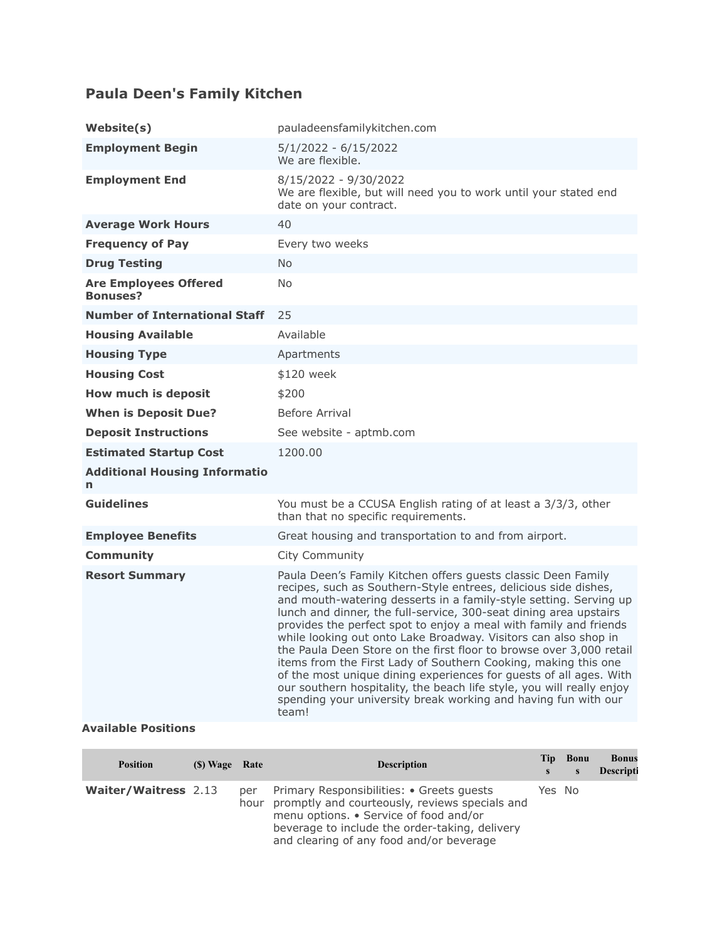## **Paula Deen's Family Kitchen**

| pauladeensfamilykitchen.com                                                                                                                                                                                                                                                                                                                                                                                                                                                                                                                                                                                                                                                                                                                                                           |
|---------------------------------------------------------------------------------------------------------------------------------------------------------------------------------------------------------------------------------------------------------------------------------------------------------------------------------------------------------------------------------------------------------------------------------------------------------------------------------------------------------------------------------------------------------------------------------------------------------------------------------------------------------------------------------------------------------------------------------------------------------------------------------------|
| $5/1/2022 - 6/15/2022$<br>We are flexible.                                                                                                                                                                                                                                                                                                                                                                                                                                                                                                                                                                                                                                                                                                                                            |
| 8/15/2022 - 9/30/2022<br>We are flexible, but will need you to work until your stated end<br>date on your contract.                                                                                                                                                                                                                                                                                                                                                                                                                                                                                                                                                                                                                                                                   |
| 40                                                                                                                                                                                                                                                                                                                                                                                                                                                                                                                                                                                                                                                                                                                                                                                    |
| Every two weeks                                                                                                                                                                                                                                                                                                                                                                                                                                                                                                                                                                                                                                                                                                                                                                       |
| N <sub>o</sub>                                                                                                                                                                                                                                                                                                                                                                                                                                                                                                                                                                                                                                                                                                                                                                        |
| <b>No</b>                                                                                                                                                                                                                                                                                                                                                                                                                                                                                                                                                                                                                                                                                                                                                                             |
| 25                                                                                                                                                                                                                                                                                                                                                                                                                                                                                                                                                                                                                                                                                                                                                                                    |
| Available                                                                                                                                                                                                                                                                                                                                                                                                                                                                                                                                                                                                                                                                                                                                                                             |
| Apartments                                                                                                                                                                                                                                                                                                                                                                                                                                                                                                                                                                                                                                                                                                                                                                            |
| \$120 week                                                                                                                                                                                                                                                                                                                                                                                                                                                                                                                                                                                                                                                                                                                                                                            |
| \$200                                                                                                                                                                                                                                                                                                                                                                                                                                                                                                                                                                                                                                                                                                                                                                                 |
| Before Arrival                                                                                                                                                                                                                                                                                                                                                                                                                                                                                                                                                                                                                                                                                                                                                                        |
| See website - aptmb.com                                                                                                                                                                                                                                                                                                                                                                                                                                                                                                                                                                                                                                                                                                                                                               |
| 1200.00                                                                                                                                                                                                                                                                                                                                                                                                                                                                                                                                                                                                                                                                                                                                                                               |
|                                                                                                                                                                                                                                                                                                                                                                                                                                                                                                                                                                                                                                                                                                                                                                                       |
| You must be a CCUSA English rating of at least a 3/3/3, other<br>than that no specific requirements.                                                                                                                                                                                                                                                                                                                                                                                                                                                                                                                                                                                                                                                                                  |
| Great housing and transportation to and from airport.                                                                                                                                                                                                                                                                                                                                                                                                                                                                                                                                                                                                                                                                                                                                 |
| City Community                                                                                                                                                                                                                                                                                                                                                                                                                                                                                                                                                                                                                                                                                                                                                                        |
| Paula Deen's Family Kitchen offers guests classic Deen Family<br>recipes, such as Southern-Style entrees, delicious side dishes,<br>and mouth-watering desserts in a family-style setting. Serving up<br>lunch and dinner, the full-service, 300-seat dining area upstairs<br>provides the perfect spot to enjoy a meal with family and friends<br>while looking out onto Lake Broadway. Visitors can also shop in<br>the Paula Deen Store on the first floor to browse over 3,000 retail<br>items from the First Lady of Southern Cooking, making this one<br>of the most unique dining experiences for guests of all ages. With<br>our southern hospitality, the beach life style, you will really enjoy<br>spending your university break working and having fun with our<br>team! |
|                                                                                                                                                                                                                                                                                                                                                                                                                                                                                                                                                                                                                                                                                                                                                                                       |

## **Available Positions**

| <b>Position</b>             | (\$) Wage Rate |     | <b>Description</b>                                                                                                                                                                                                                       | Tip.<br>S | Bonu<br>$\mathbf{s}$ | <b>Bonus</b><br>Descripti |
|-----------------------------|----------------|-----|------------------------------------------------------------------------------------------------------------------------------------------------------------------------------------------------------------------------------------------|-----------|----------------------|---------------------------|
| <b>Waiter/Waitress 2.13</b> |                | per | Primary Responsibilities: • Greets guests<br>hour promptly and courteously, reviews specials and<br>menu options. • Service of food and/or<br>beverage to include the order-taking, delivery<br>and clearing of any food and/or beverage | Yes No    |                      |                           |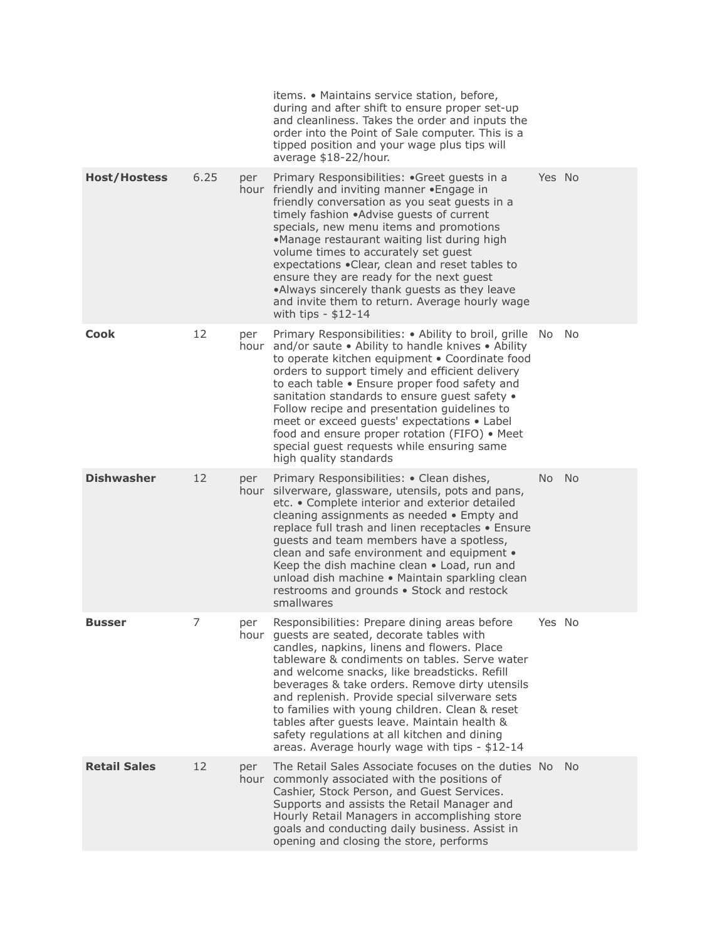|                     |      |     | items. • Maintains service station, before,<br>during and after shift to ensure proper set-up<br>and cleanliness. Takes the order and inputs the<br>order into the Point of Sale computer. This is a<br>tipped position and your wage plus tips will<br>average \$18-22/hour.                                                                                                                                                                                                                                                                         |           |           |
|---------------------|------|-----|-------------------------------------------------------------------------------------------------------------------------------------------------------------------------------------------------------------------------------------------------------------------------------------------------------------------------------------------------------------------------------------------------------------------------------------------------------------------------------------------------------------------------------------------------------|-----------|-----------|
| <b>Host/Hostess</b> | 6.25 | per | Primary Responsibilities: .Greet guests in a<br>hour friendly and inviting manner . Engage in<br>friendly conversation as you seat guests in a<br>timely fashion .Advise guests of current<br>specials, new menu items and promotions<br>•Manage restaurant waiting list during high<br>volume times to accurately set guest<br>expectations .Clear, clean and reset tables to<br>ensure they are ready for the next guest<br>.Always sincerely thank guests as they leave<br>and invite them to return. Average hourly wage<br>with tips $-$ \$12-14 | Yes No    |           |
| <b>Cook</b>         | 12   | per | Primary Responsibilities: • Ability to broil, grille<br>hour and/or saute . Ability to handle knives . Ability<br>to operate kitchen equipment . Coordinate food<br>orders to support timely and efficient delivery<br>to each table . Ensure proper food safety and<br>sanitation standards to ensure guest safety .<br>Follow recipe and presentation guidelines to<br>meet or exceed guests' expectations . Label<br>food and ensure proper rotation (FIFO) . Meet<br>special guest requests while ensuring same<br>high quality standards         | No.       | No        |
| <b>Dishwasher</b>   | 12   | per | Primary Responsibilities: • Clean dishes,<br>hour silverware, glassware, utensils, pots and pans,<br>etc. • Complete interior and exterior detailed<br>cleaning assignments as needed • Empty and<br>replace full trash and linen receptacles • Ensure<br>guests and team members have a spotless,<br>clean and safe environment and equipment •<br>Keep the dish machine clean . Load, run and<br>unload dish machine • Maintain sparkling clean<br>restrooms and grounds . Stock and restock<br>smallwares                                          | <b>No</b> | <b>No</b> |
| <b>Busser</b>       | 7    | per | Responsibilities: Prepare dining areas before<br>hour quests are seated, decorate tables with<br>candles, napkins, linens and flowers. Place<br>tableware & condiments on tables. Serve water<br>and welcome snacks, like breadsticks. Refill<br>beverages & take orders. Remove dirty utensils<br>and replenish. Provide special silverware sets<br>to families with young children. Clean & reset<br>tables after guests leave. Maintain health &<br>safety regulations at all kitchen and dining<br>areas. Average hourly wage with tips - \$12-14 | Yes No    |           |
| <b>Retail Sales</b> | 12   | per | The Retail Sales Associate focuses on the duties No<br>hour commonly associated with the positions of<br>Cashier, Stock Person, and Guest Services.<br>Supports and assists the Retail Manager and<br>Hourly Retail Managers in accomplishing store<br>goals and conducting daily business. Assist in<br>opening and closing the store, performs                                                                                                                                                                                                      |           | - No      |
|                     |      |     |                                                                                                                                                                                                                                                                                                                                                                                                                                                                                                                                                       |           |           |